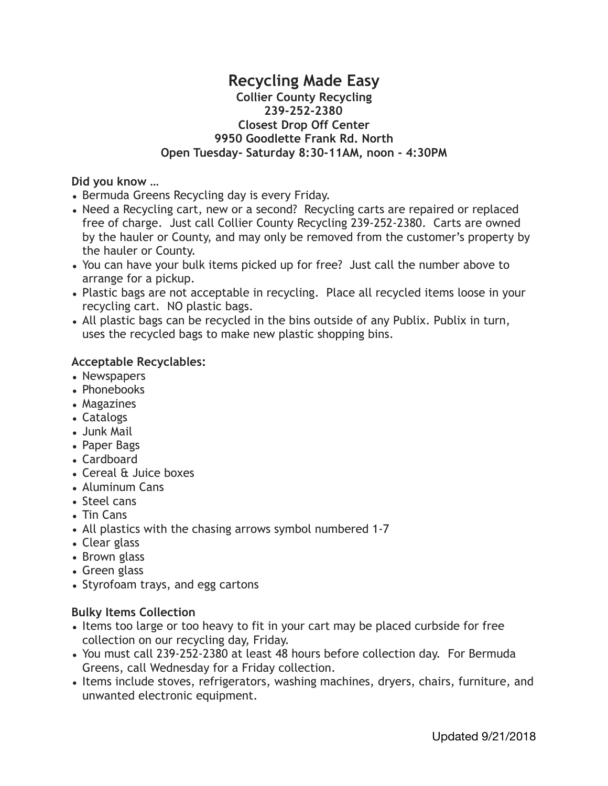## **Recycling Made Easy Collier County Recycling 239-252-2380 Closest Drop Off Center 9950 Goodlette Frank Rd. North Open Tuesday- Saturday 8:30-11AM, noon - 4:30PM**

#### **Did you know …**

- Bermuda Greens Recycling day is every Friday.
- Need a Recycling cart, new or a second? Recycling carts are repaired or replaced free of charge. Just call Collier County Recycling 239-252-2380. Carts are owned by the hauler or County, and may only be removed from the customer's property by the hauler or County.
- You can have your bulk items picked up for free? Just call the number above to arrange for a pickup.
- Plastic bags are not acceptable in recycling. Place all recycled items loose in your recycling cart. NO plastic bags.
- All plastic bags can be recycled in the bins outside of any Publix. Publix in turn, uses the recycled bags to make new plastic shopping bins.

#### **Acceptable Recyclables:**

- Newspapers
- Phonebooks
- Magazines
- Catalogs
- Junk Mail
- Paper Bags
- Cardboard
- Cereal & Juice boxes
- Aluminum Cans
- Steel cans
- Tin Cans
- All plastics with the chasing arrows symbol numbered 1-7
- Clear glass
- Brown glass
- Green glass
- Styrofoam trays, and egg cartons

## **Bulky Items Collection**

- Items too large or too heavy to fit in your cart may be placed curbside for free collection on our recycling day, Friday.
- You must call 239-252-2380 at least 48 hours before collection day. For Bermuda Greens, call Wednesday for a Friday collection.
- Items include stoves, refrigerators, washing machines, dryers, chairs, furniture, and unwanted electronic equipment.